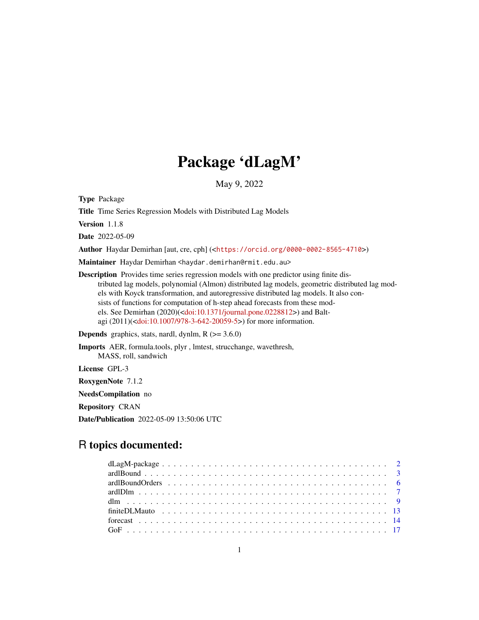## Package 'dLagM'

May 9, 2022

Type Package

Title Time Series Regression Models with Distributed Lag Models

Version 1.1.8

Date 2022-05-09

Author Haydar Demirhan [aut, cre, cph] (<<https://orcid.org/0000-0002-8565-4710>>)

Maintainer Haydar Demirhan <haydar.demirhan@rmit.edu.au>

Description Provides time series regression models with one predictor using finite distributed lag models, polynomial (Almon) distributed lag models, geometric distributed lag models with Koyck transformation, and autoregressive distributed lag models. It also consists of functions for computation of h-step ahead forecasts from these models. See Demirhan (2020)([<doi:10.1371/journal.pone.0228812>](https://doi.org/10.1371/journal.pone.0228812)) and Baltagi (2011)([<doi:10.1007/978-3-642-20059-5>](https://doi.org/10.1007/978-3-642-20059-5)) for more information.

**Depends** graphics, stats, nardl, dynlm,  $R$  ( $>= 3.6.0$ )

Imports AER, formula.tools, plyr , lmtest, strucchange, wavethresh, MASS, roll, sandwich License GPL-3

RoxygenNote 7.1.2

NeedsCompilation no

Repository CRAN

Date/Publication 2022-05-09 13:50:06 UTC

## R topics documented: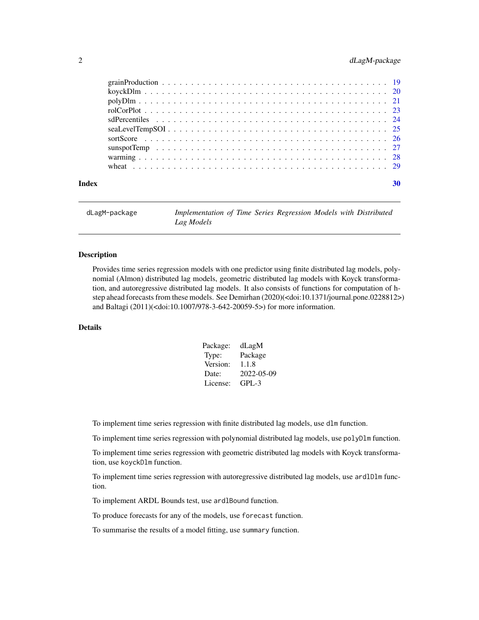#### <span id="page-1-0"></span>2 dLagM-package

| Index | 30 |
|-------|----|
|       |    |
|       |    |
|       |    |
|       |    |
|       |    |
|       |    |
|       |    |
|       |    |
|       |    |
|       |    |

dLagM-package *Implementation of Time Series Regression Models with Distributed Lag Models*

#### Description

Provides time series regression models with one predictor using finite distributed lag models, polynomial (Almon) distributed lag models, geometric distributed lag models with Koyck transformation, and autoregressive distributed lag models. It also consists of functions for computation of hstep ahead forecasts from these models. See Demirhan (2020)(<doi:10.1371/journal.pone.0228812>) and Baltagi (2011)(<doi:10.1007/978-3-642-20059-5>) for more information.

#### Details

| Package: | dLagM      |
|----------|------------|
| Type:    | Package    |
| Version: | 1.1.8      |
| Date:    | 2022-05-09 |
| License: | $GPI - 3$  |

To implement time series regression with finite distributed lag models, use dlm function.

To implement time series regression with polynomial distributed lag models, use polyDlm function.

To implement time series regression with geometric distributed lag models with Koyck transformation, use koyckDlm function.

To implement time series regression with autoregressive distributed lag models, use ardlDlm function.

To implement ARDL Bounds test, use ardlBound function.

To produce forecasts for any of the models, use forecast function.

To summarise the results of a model fitting, use summary function.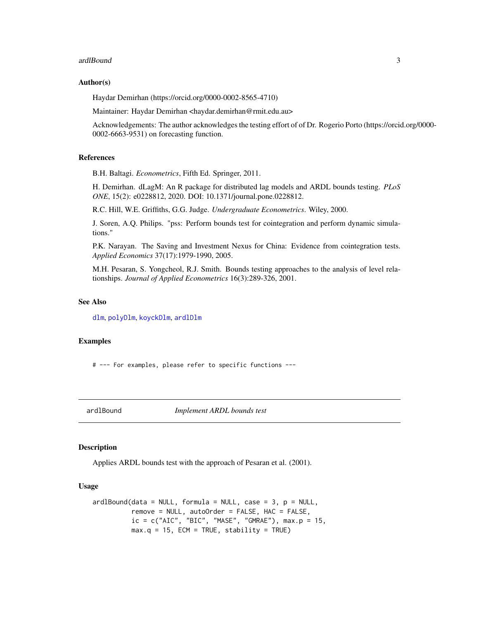#### <span id="page-2-0"></span>ardlBound 3

#### Author(s)

Haydar Demirhan (https://orcid.org/0000-0002-8565-4710)

Maintainer: Haydar Demirhan <haydar.demirhan@rmit.edu.au>

Acknowledgements: The author acknowledges the testing effort of of Dr. Rogerio Porto (https://orcid.org/0000- 0002-6663-9531) on forecasting function.

#### References

B.H. Baltagi. *Econometrics*, Fifth Ed. Springer, 2011.

H. Demirhan. dLagM: An R package for distributed lag models and ARDL bounds testing. *PLoS ONE*, 15(2): e0228812, 2020. DOI: 10.1371/journal.pone.0228812.

R.C. Hill, W.E. Griffiths, G.G. Judge. *Undergraduate Econometrics*. Wiley, 2000.

J. Soren, A.Q. Philips. "pss: Perform bounds test for cointegration and perform dynamic simulations."

P.K. Narayan. The Saving and Investment Nexus for China: Evidence from cointegration tests. *Applied Economics* 37(17):1979-1990, 2005.

M.H. Pesaran, S. Yongcheol, R.J. Smith. Bounds testing approaches to the analysis of level relationships. *Journal of Applied Econometrics* 16(3):289-326, 2001.

#### See Also

[dlm](#page-8-1), [polyDlm](#page-20-1), [koyckDlm](#page-19-1), [ardlDlm](#page-6-1)

#### Examples

# --- For examples, please refer to specific functions ---

ardlBound *Implement ARDL bounds test*

#### Description

Applies ARDL bounds test with the approach of Pesaran et al. (2001).

#### Usage

```
ardlBound(data = NULL, formula = NULL, case = 3, p = NULL,remove = NULL, autoOrder = FALSE, HAC = FALSE,
         ic = c("AIC", "BIC", "MASE", "GMRAE"), max.p = 15,max.q = 15, ECM = TRUE, stability = TRUE)
```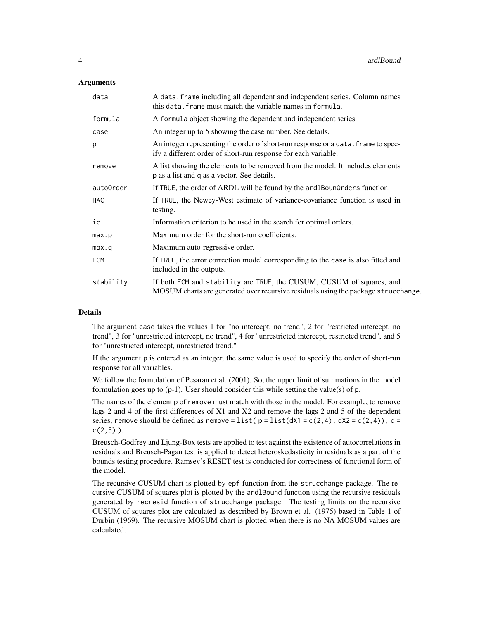#### **Arguments**

| data       | A data. frame including all dependent and independent series. Column names<br>this data. frame must match the variable names in formula.                   |
|------------|------------------------------------------------------------------------------------------------------------------------------------------------------------|
| formula    | A formula object showing the dependent and independent series.                                                                                             |
| case       | An integer up to 5 showing the case number. See details.                                                                                                   |
| p          | An integer representing the order of short-run response or a data. Frame to spec-<br>ify a different order of short-run response for each variable.        |
| remove     | A list showing the elements to be removed from the model. It includes elements<br>p as a list and q as a vector. See details.                              |
| autoOrder  | If TRUE, the order of ARDL will be found by the ard 1Boun0rders function.                                                                                  |
| <b>HAC</b> | If TRUE, the Newey-West estimate of variance-covariance function is used in<br>testing.                                                                    |
| ic         | Information criterion to be used in the search for optimal orders.                                                                                         |
| max.p      | Maximum order for the short-run coefficients.                                                                                                              |
| max.q      | Maximum auto-regressive order.                                                                                                                             |
| <b>ECM</b> | If TRUE, the error correction model corresponding to the case is also fitted and<br>included in the outputs.                                               |
| stability  | If both ECM and stability are TRUE, the CUSUM, CUSUM of squares, and<br>MOSUM charts are generated over recursive residuals using the package strucchange. |

#### Details

The argument case takes the values 1 for "no intercept, no trend", 2 for "restricted intercept, no trend", 3 for "unrestricted intercept, no trend", 4 for "unrestricted intercept, restricted trend", and 5 for "unrestricted intercept, unrestricted trend."

If the argument p is entered as an integer, the same value is used to specify the order of short-run response for all variables.

We follow the formulation of Pesaran et al. (2001). So, the upper limit of summations in the model formulation goes up to (p-1). User should consider this while setting the value(s) of p.

The names of the element p of remove must match with those in the model. For example, to remove lags 2 and 4 of the first differences of X1 and X2 and remove the lags 2 and 5 of the dependent series, remove should be defined as remove = list( $p = list(dX1 = c(2, 4), dX2 = c(2, 4))$ , q =  $c(2,5)$ ).

Breusch-Godfrey and Ljung-Box tests are applied to test against the existence of autocorrelations in residuals and Breusch-Pagan test is applied to detect heteroskedasticity in residuals as a part of the bounds testing procedure. Ramsey's RESET test is conducted for correctness of functional form of the model.

The recursive CUSUM chart is plotted by epf function from the strucchange package. The recursive CUSUM of squares plot is plotted by the ardlBound function using the recursive residuals generated by recresid function of strucchange package. The testing limits on the recursive CUSUM of squares plot are calculated as described by Brown et al. (1975) based in Table 1 of Durbin (1969). The recursive MOSUM chart is plotted when there is no NA MOSUM values are calculated.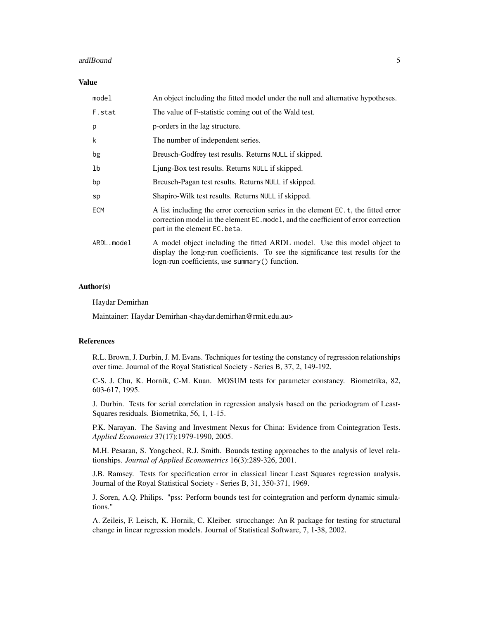#### ardlBound 5

#### Value

| An object including the fitted model under the null and alternative hypotheses.                                                                                                                                  |
|------------------------------------------------------------------------------------------------------------------------------------------------------------------------------------------------------------------|
| The value of F-statistic coming out of the Wald test.                                                                                                                                                            |
| p-orders in the lag structure.                                                                                                                                                                                   |
| The number of independent series.                                                                                                                                                                                |
| Breusch-Godfrey test results. Returns NULL if skipped.                                                                                                                                                           |
| Ljung-Box test results. Returns NULL if skipped.                                                                                                                                                                 |
| Breusch-Pagan test results. Returns NULL if skipped.                                                                                                                                                             |
| Shapiro-Wilk test results. Returns NULL if skipped.                                                                                                                                                              |
| A list including the error correction series in the element EC. t, the fitted error<br>correction model in the element EC. model, and the coefficient of error correction<br>part in the element EC, beta.       |
| A model object including the fitted ARDL model. Use this model object to<br>display the long-run coefficients. To see the significance test results for the<br>$logn$ -run coefficients, use summary() function. |
|                                                                                                                                                                                                                  |

#### Author(s)

Haydar Demirhan

Maintainer: Haydar Demirhan <haydar.demirhan@rmit.edu.au>

#### References

R.L. Brown, J. Durbin, J. M. Evans. Techniques for testing the constancy of regression relationships over time. Journal of the Royal Statistical Society - Series B, 37, 2, 149-192.

C-S. J. Chu, K. Hornik, C-M. Kuan. MOSUM tests for parameter constancy. Biometrika, 82, 603-617, 1995.

J. Durbin. Tests for serial correlation in regression analysis based on the periodogram of Least-Squares residuals. Biometrika, 56, 1, 1-15.

P.K. Narayan. The Saving and Investment Nexus for China: Evidence from Cointegration Tests. *Applied Economics* 37(17):1979-1990, 2005.

M.H. Pesaran, S. Yongcheol, R.J. Smith. Bounds testing approaches to the analysis of level relationships. *Journal of Applied Econometrics* 16(3):289-326, 2001.

J.B. Ramsey. Tests for specification error in classical linear Least Squares regression analysis. Journal of the Royal Statistical Society - Series B, 31, 350-371, 1969.

J. Soren, A.Q. Philips. "pss: Perform bounds test for cointegration and perform dynamic simulations."

A. Zeileis, F. Leisch, K. Hornik, C. Kleiber. strucchange: An R package for testing for structural change in linear regression models. Journal of Statistical Software, 7, 1-38, 2002.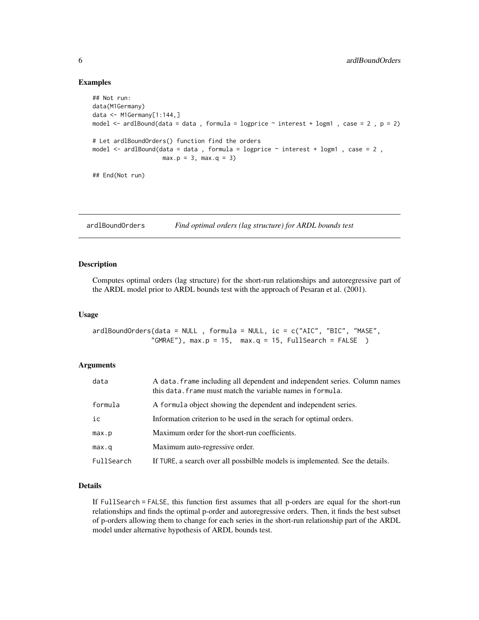#### Examples

```
## Not run:
data(M1Germany)
data <- M1Germany[1:144,]
model \le - ardlBound(data = data, formula = logprice \sim interest + logm1, case = 2, p = 2)
# Let ardlBoundOrders() function find the orders
model <- ardlBound(data = data , formula = logprice ~ interest + logm1 , case = 2 ,
                    max.p = 3, max.q = 3)## End(Not run)
```
ardlBoundOrders *Find optimal orders (lag structure) for ARDL bounds test*

#### **Description**

Computes optimal orders (lag structure) for the short-run relationships and autoregressive part of the ARDL model prior to ARDL bounds test with the approach of Pesaran et al. (2001).

#### Usage

ardlBoundOrders(data = NULL , formula = NULL, ic = c("AIC", "BIC", "MASE", "GMRAE"),  $max.p = 15$ ,  $max.q = 15$ ,  $FullSearch = FALSE$ )

#### Arguments

| data       | A data, frame including all dependent and independent series. Column names<br>this data. frame must match the variable names in formula. |
|------------|------------------------------------------------------------------------------------------------------------------------------------------|
| formula    | A formula object showing the dependent and independent series.                                                                           |
| ic         | Information criterion to be used in the serach for optimal orders.                                                                       |
| max.p      | Maximum order for the short-run coefficients.                                                                                            |
| max.q      | Maximum auto-regressive order.                                                                                                           |
| FullSearch | If TURE, a search over all possbilble models is implemented. See the details.                                                            |

#### Details

If FullSearch = FALSE, this function first assumes that all p-orders are equal for the short-run relationships and finds the optimal p-order and autoregressive orders. Then, it finds the best subset of p-orders allowing them to change for each series in the short-run relationship part of the ARDL model under alternative hypothesis of ARDL bounds test.

<span id="page-5-0"></span>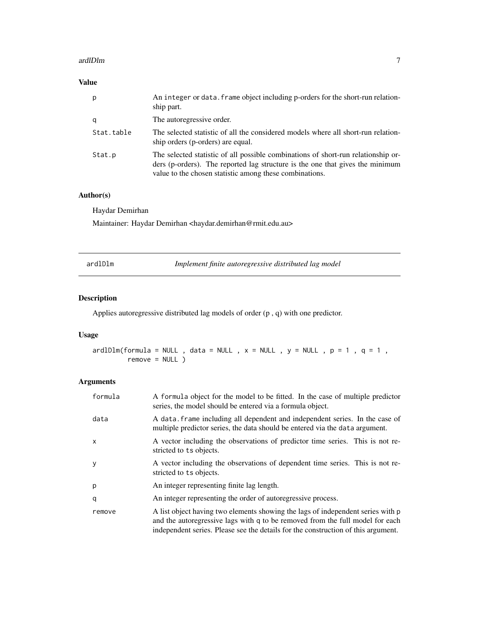#### <span id="page-6-0"></span>ardlDlm 7

#### Value

| p          | An integer or data. frame object including p-orders for the short-run relation-<br>ship part.                                                                                                                                 |
|------------|-------------------------------------------------------------------------------------------------------------------------------------------------------------------------------------------------------------------------------|
| q          | The autoregressive order.                                                                                                                                                                                                     |
| Stat.table | The selected statistic of all the considered models where all short-run relation-<br>ship orders (p-orders) are equal.                                                                                                        |
| Stat.p     | The selected statistic of all possible combinations of short-run relationship or-<br>ders (p-orders). The reported lag structure is the one that gives the minimum<br>value to the chosen statistic among these combinations. |

#### Author(s)

Haydar Demirhan

Maintainer: Haydar Demirhan <haydar.demirhan@rmit.edu.au>

<span id="page-6-1"></span>ardlDlm *Implement finite autoregressive distributed lag model*

### Description

Applies autoregressive distributed lag models of order (p , q) with one predictor.

#### Usage

 $ardIDIm(fromula = NULL , data = NULL , x = NULL , y = NULL , p = 1 , q = 1 ,$ remove = NULL )

#### Arguments

| formula | A formula object for the model to be fitted. In the case of multiple predictor<br>series, the model should be entered via a formula object.                                                                                                           |
|---------|-------------------------------------------------------------------------------------------------------------------------------------------------------------------------------------------------------------------------------------------------------|
| data    | A data frame including all dependent and independent series. In the case of<br>multiple predictor series, the data should be entered via the data argument.                                                                                           |
| X       | A vector including the observations of predictor time series. This is not re-<br>stricted to ts objects.                                                                                                                                              |
| y       | A vector including the observations of dependent time series. This is not re-<br>stricted to ts objects.                                                                                                                                              |
| p       | An integer representing finite lag length.                                                                                                                                                                                                            |
| q       | An integer representing the order of autoregressive process.                                                                                                                                                                                          |
| remove  | A list object having two elements showing the lags of independent series with p<br>and the autoregressive lags with q to be removed from the full model for each<br>independent series. Please see the details for the construction of this argument. |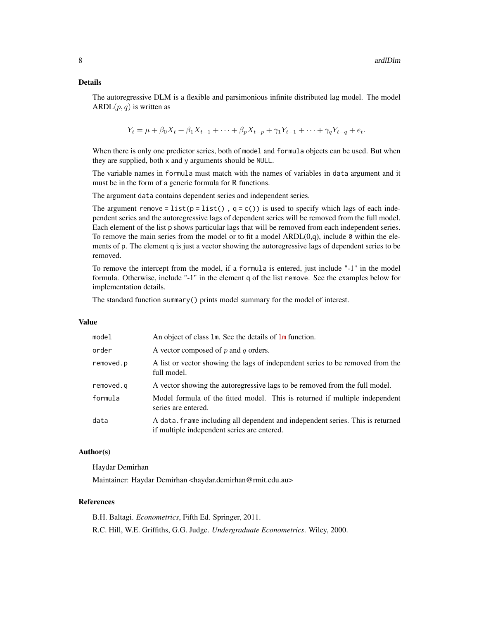#### Details

The autoregressive DLM is a flexible and parsimonious infinite distributed lag model. The model ARDL $(p, q)$  is written as

$$
Y_t = \mu + \beta_0 X_t + \beta_1 X_{t-1} + \dots + \beta_p X_{t-p} + \gamma_1 Y_{t-1} + \dots + \gamma_q Y_{t-q} + e_t.
$$

When there is only one predictor series, both of model and formula objects can be used. But when they are supplied, both x and y arguments should be NULL.

The variable names in formula must match with the names of variables in data argument and it must be in the form of a generic formula for R functions.

The argument data contains dependent series and independent series.

The argument remove = list(p = list(),  $q = c()$  is used to specify which lags of each independent series and the autoregressive lags of dependent series will be removed from the full model. Each element of the list p shows particular lags that will be removed from each independent series. To remove the main series from the model or to fit a model  $ARDL(0,q)$ , include 0 within the elements of p. The element q is just a vector showing the autoregressive lags of dependent series to be removed.

To remove the intercept from the model, if a formula is entered, just include "-1" in the model formula. Otherwise, include "-1" in the element q of the list remove. See the examples below for implementation details.

The standard function summary() prints model summary for the model of interest.

#### Value

| model     | An object of class $\text{Im}$ . See the details of $\text{Im}$ function.                                                     |
|-----------|-------------------------------------------------------------------------------------------------------------------------------|
| order     | A vector composed of $p$ and $q$ orders.                                                                                      |
| removed.p | A list or vector showing the lags of independent series to be removed from the<br>full model.                                 |
| removed.g | A vector showing the autoregressive lags to be removed from the full model.                                                   |
| formula   | Model formula of the fitted model. This is returned if multiple independent<br>series are entered.                            |
| data      | A data. frame including all dependent and independent series. This is returned<br>if multiple independent series are entered. |

#### Author(s)

Haydar Demirhan

Maintainer: Haydar Demirhan <haydar.demirhan@rmit.edu.au>

#### References

B.H. Baltagi. *Econometrics*, Fifth Ed. Springer, 2011. R.C. Hill, W.E. Griffiths, G.G. Judge. *Undergraduate Econometrics*. Wiley, 2000.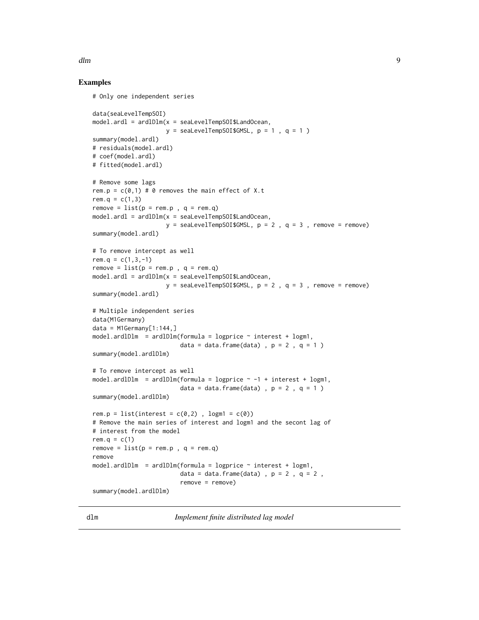#### <span id="page-8-0"></span>dlm strategies and the strategies of the strategies of the strategies of the strategies of the strategies of the strategies of the strategies of the strategies of the strategies of the strategies of the strategies of the s

#### Examples

```
# Only one independent series
data(seaLevelTempSOI)
model.ardl = ardlDlm(x = seaLevelTempSOI$LandOcean,
                     y = seaLevelTempSOI$GMSL, p = 1, q = 1)
summary(model.ardl)
# residuals(model.ardl)
# coef(model.ardl)
# fitted(model.ardl)
# Remove some lags
rem.p = c(0,1) # 0 removes the main effect of X.t
rem.q = c(1,3)remove = list(p = rem.p , q = rem.q)model.ardl = ardlDlm(x = seaLevelTempSOI$LandOcean,
                     y = seaLevelTempSOI$GMSL, p = 2, q = 3, remove = remove)
summary(model.ardl)
# To remove intercept as well
rem.q = c(1,3,-1)remove = list(p = rem.p , q = rem.q)model.ardl = ardlDlm(x = seaLevelTempSOI$LandOcean,
                     y = seaLevelTempSOI$GMSL, p = 2, q = 3, remove = remove)
summary(model.ardl)
# Multiple independent series
data(M1Germany)
data = M1Germany[1:144, ]model.ardIDlm = ardlDlm(formula = logprice ~ interest + logm1,data = data.frame(data) , p = 2, q = 1)
summary(model.ardlDlm)
# To remove intercept as well
model.ardlDlm = ardlDlm(formula = logprice \sim -1 + interest + logm1,
                         data = data.frame(data) , p = 2, q = 1)
summary(model.ardlDlm)
rem.p = list(interest = c(0,2), logm1 = c(0))
# Remove the main series of interest and logm1 and the secont lag of
# interest from the model
rem.q = c(1)remove = list(p = rem.p , q = rem.q)remove
model.ard1D1m = ardlD1m (formula = logprice ~ interest + logm1,data = data.frame(data) , p = 2 , q = 2 ,
                         remove = remove)
summary(model.ardlDlm)
```
<span id="page-8-1"></span>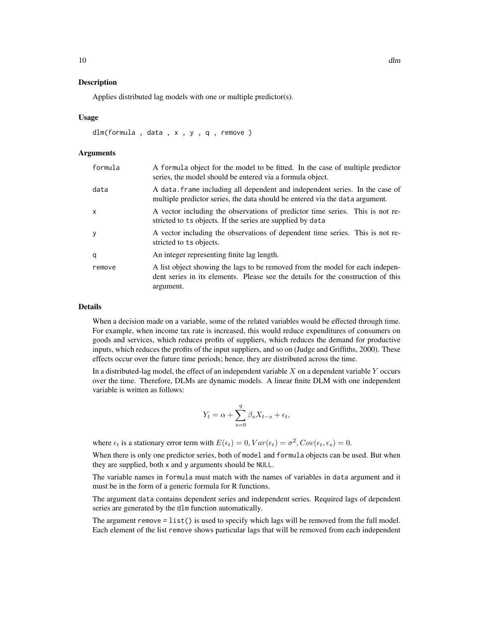#### Description

Applies distributed lag models with one or multiple predictor(s).

#### Usage

dlm(formula , data , x , y , q , remove )

#### Arguments

| formula | A formula object for the model to be fitted. In the case of multiple predictor<br>series, the model should be entered via a formula object.                                    |
|---------|--------------------------------------------------------------------------------------------------------------------------------------------------------------------------------|
| data    | A data frame including all dependent and independent series. In the case of<br>multiple predictor series, the data should be entered via the data argument.                    |
| x       | A vector including the observations of predictor time series. This is not re-<br>stricted to ts objects. If the series are supplied by data                                    |
| у       | A vector including the observations of dependent time series. This is not re-<br>stricted to ts objects.                                                                       |
| q       | An integer representing finite lag length.                                                                                                                                     |
| remove  | A list object showing the lags to be removed from the model for each indepen-<br>dent series in its elements. Please see the details for the construction of this<br>argument. |

#### Details

When a decision made on a variable, some of the related variables would be effected through time. For example, when income tax rate is increased, this would reduce expenditures of consumers on goods and services, which reduces profits of suppliers, which reduces the demand for productive inputs, which reduces the profits of the input suppliers, and so on (Judge and Griffiths, 2000). These effects occur over the future time periods; hence, they are distributed across the time.

In a distributed-lag model, the effect of an independent variable  $X$  on a dependent variable  $Y$  occurs over the time. Therefore, DLMs are dynamic models. A linear finite DLM with one independent variable is written as follows:

$$
Y_t = \alpha + \sum_{s=0}^{q} \beta_s X_{t-s} + \epsilon_t,
$$

where  $\epsilon_t$  is a stationary error term with  $E(\epsilon_t) = 0$ ,  $Var(\epsilon_t) = \sigma^2$ ,  $Cov(\epsilon_t, \epsilon_s) = 0$ .

When there is only one predictor series, both of model and formula objects can be used. But when they are supplied, both x and y arguments should be NULL.

The variable names in formula must match with the names of variables in data argument and it must be in the form of a generic formula for R functions.

The argument data contains dependent series and independent series. Required lags of dependent series are generated by the dlm function automatically.

The argument remove =  $list()$  is used to specify which lags will be removed from the full model. Each element of the list remove shows particular lags that will be removed from each independent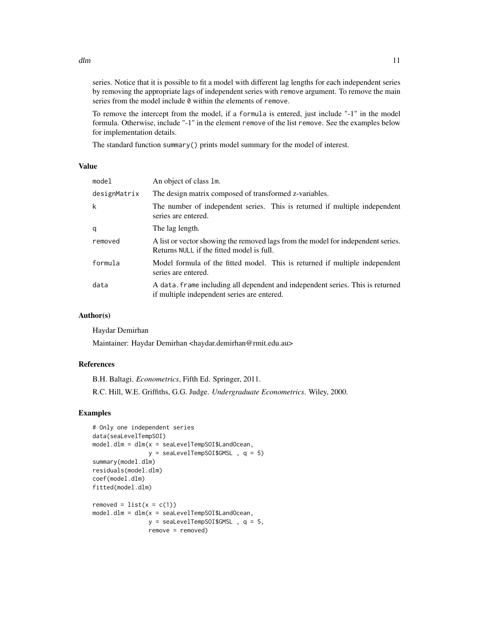series. Notice that it is possible to fit a model with different lag lengths for each independent series by removing the appropriate lags of independent series with remove argument. To remove the main series from the model include 0 within the elements of remove.

To remove the intercept from the model, if a formula is entered, just include "-1" in the model formula. Otherwise, include "-1" in the element remove of the list remove. See the examples below for implementation details.

The standard function summary() prints model summary for the model of interest.

#### Value

| model        | An object of class 1m.                                                                                                        |
|--------------|-------------------------------------------------------------------------------------------------------------------------------|
| designMatrix | The design matrix composed of transformed z-variables.                                                                        |
| k            | The number of independent series. This is returned if multiple independent<br>series are entered.                             |
| q            | The lag length.                                                                                                               |
| removed      | A list or vector showing the removed lags from the model for independent series.<br>Returns NULL if the fitted model is full. |
| formula      | Model formula of the fitted model. This is returned if multiple independent<br>series are entered.                            |
| data         | A data, frame including all dependent and independent series. This is returned<br>if multiple independent series are entered. |

#### Author(s)

Haydar Demirhan

Maintainer: Haydar Demirhan <haydar.demirhan@rmit.edu.au>

#### References

B.H. Baltagi. *Econometrics*, Fifth Ed. Springer, 2011. R.C. Hill, W.E. Griffiths, G.G. Judge. *Undergraduate Econometrics*. Wiley, 2000.

#### Examples

```
# Only one independent series
data(seaLevelTempSOI)
model.dlm = dlm(x = seaLevelTempSOI$LandOcean,
               y = seaLevelTempSOI$GMSL , q = 5)
summary(model.dlm)
residuals(model.dlm)
coef(model.dlm)
fitted(model.dlm)
removed = list(x = c(1))model.dlm = dlm(x = seaLevelTempSOI$LandOcean,
               y = seaLevelTempSOI$GMSL, q = 5,
                remove = removed)
```
 $dm$  11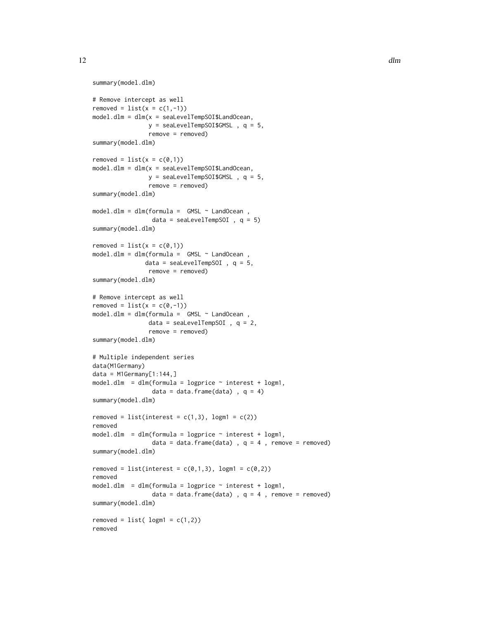```
summary(model.dlm)
# Remove intercept as well
removed = list(x = c(1, -1))model.dlm = dlm(x = seaLevelTempSOI$LandOcean,
                y = seaLevelTempSOI$GMSL, q = 5,
                remove = removed)
summary(model.dlm)
removed = list(x = c(0,1))model.dlm = dlm(x = seaLevelTempSOI$LandOcean,
                y = seaLevelTempSOI$GMSL, q = 5,
                remove = removed)
summary(model.dlm)
model.dlm = dlm(formula = GMSL ~ LandOcean ,
                 data = seaLevelTempSOI , q = 5)
summary(model.dlm)
removed = list(x = c(0,1))model.dim = dlm(formula = GMSL ~ LandOcean,data = seaLevelTempSOI , q = 5,
                remove = removed)
summary(model.dlm)
# Remove intercept as well
removed = list(x = c(0, -1))model.dlm = dlm(formula = GMSL ~ LandOcean ,
                data = seaLevelTempSOI , q = 2,
                remove = removed)
summary(model.dlm)
# Multiple independent series
data(M1Germany)
data = M1Germany[1:144, ]model.dlm = dlm(formula = logprice \sim interest + logm1,
                 data = data.frame(data), q = 4)
summary(model.dlm)
removed = list(interest = c(1,3), logm1 = c(2))
removed
model.dim = dlm(formula = logprice \sim interest + logm1,data = data.frame(data) , q = 4 , remove = removed)
summary(model.dlm)
removed = list(interest = c(0,1,3), logm1 = c(0,2))
removed
model.dlm = dlm(formula = logprice \sim interest + logm1,
                 data = data.frame(data) , q = 4 , remove = removed)
summary(model.dlm)
re moved = list( logm1 = c(1,2))removed
```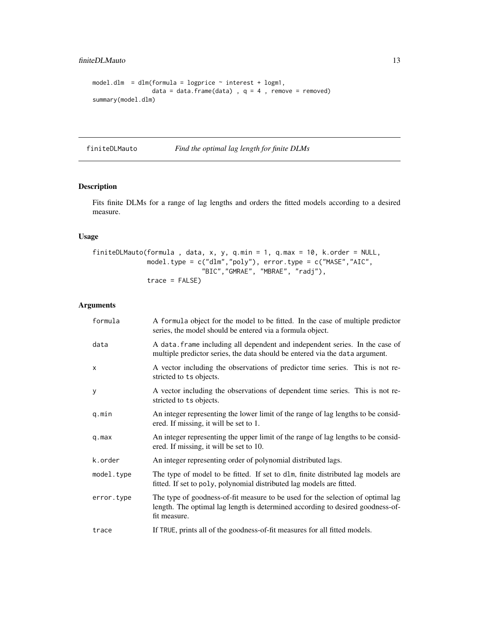#### <span id="page-12-0"></span>finiteDLMauto 13

```
model.dlm = dlm(formula = logprice \sim interest + logm1,
                 data = data.frame(data) , q = 4 , remove = removed)
summary(model.dlm)
```
finiteDLMauto *Find the optimal lag length for finite DLMs*

#### Description

Fits finite DLMs for a range of lag lengths and orders the fitted models according to a desired measure.

#### Usage

```
finiteDLMauto(formula , data, x, y, q.min = 1, q.max = 10, k.order = NULL,
              model.type = c("dlm","poly"), error.type = c("MASE","AIC",
                            "BIC","GMRAE", "MBRAE", "radj"),
              trace = FALSE)
```
#### Arguments

| formula    | A formula object for the model to be fitted. In the case of multiple predictor<br>series, the model should be entered via a formula object.                                       |
|------------|-----------------------------------------------------------------------------------------------------------------------------------------------------------------------------------|
| data       | A data. frame including all dependent and independent series. In the case of<br>multiple predictor series, the data should be entered via the data argument.                      |
| X          | A vector including the observations of predictor time series. This is not re-<br>stricted to ts objects.                                                                          |
| У          | A vector including the observations of dependent time series. This is not re-<br>stricted to ts objects.                                                                          |
| q.min      | An integer representing the lower limit of the range of lag lengths to be consid-<br>ered. If missing, it will be set to 1.                                                       |
| $q$ . max  | An integer representing the upper limit of the range of lag lengths to be consid-<br>ered. If missing, it will be set to 10.                                                      |
| k.order    | An integer representing order of polynomial distributed lags.                                                                                                                     |
| model.type | The type of model to be fitted. If set to dlm, finite distributed lag models are<br>fitted. If set to poly, polynomial distributed lag models are fitted.                         |
| error.type | The type of goodness-of-fit measure to be used for the selection of optimal lag<br>length. The optimal lag length is determined according to desired goodness-of-<br>fit measure. |
| trace      | If TRUE, prints all of the goodness-of-fit measures for all fitted models.                                                                                                        |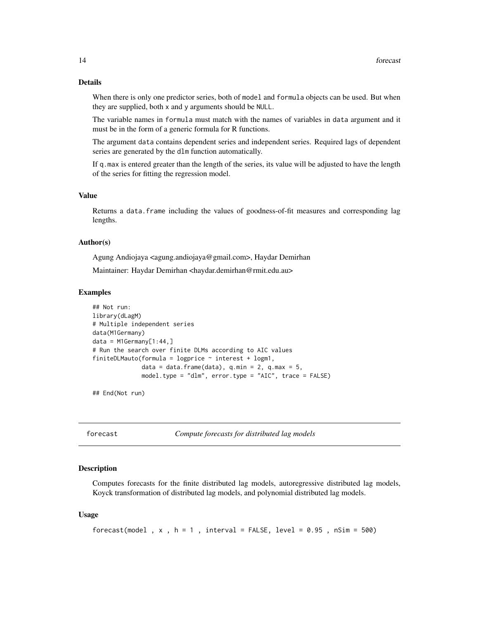#### <span id="page-13-0"></span>Details

When there is only one predictor series, both of model and formula objects can be used. But when they are supplied, both x and y arguments should be NULL.

The variable names in formula must match with the names of variables in data argument and it must be in the form of a generic formula for R functions.

The argument data contains dependent series and independent series. Required lags of dependent series are generated by the dlm function automatically.

If q.max is entered greater than the length of the series, its value will be adjusted to have the length of the series for fitting the regression model.

#### Value

Returns a data.frame including the values of goodness-of-fit measures and corresponding lag lengths.

#### Author(s)

Agung Andiojaya <agung.andiojaya@gmail.com>, Haydar Demirhan

Maintainer: Haydar Demirhan <haydar.demirhan@rmit.edu.au>

#### Examples

```
## Not run:
library(dLagM)
# Multiple independent series
data(M1Germany)
data = M1Germany[1:44, ]# Run the search over finite DLMs according to AIC values
finiteDLMauto(formula = logprice ~ interest + logm1,
              data = data.frame(data), q.min = 2, q.max = 5,
              model.type = "dlm", error.type = "AIC", trace = FALSE)
```
## End(Not run)

forecast *Compute forecasts for distributed lag models*

#### Description

Computes forecasts for the finite distributed lag models, autoregressive distributed lag models, Koyck transformation of distributed lag models, and polynomial distributed lag models.

#### Usage

```
forecast(model , x , h = 1 , interval = FALSE, level = 0.95 , nSim = 500)
```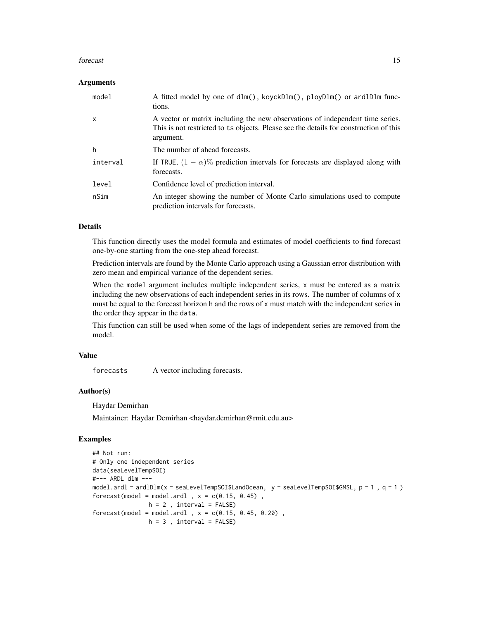#### forecast 15

#### **Arguments**

| model    | A fitted model by one of $dIm()$ , koyck $DIm()$ , ploy $DIm()$ or ard $DIm$ func-<br>tions.                                                                                        |
|----------|-------------------------------------------------------------------------------------------------------------------------------------------------------------------------------------|
| x        | A vector or matrix including the new observations of independent time series.<br>This is not restricted to ts objects. Please see the details for construction of this<br>argument. |
| h        | The number of ahead forecasts.                                                                                                                                                      |
| interval | If TRUE, $(1 - \alpha)$ % prediction intervals for forecasts are displayed along with<br>forecasts.                                                                                 |
| level    | Confidence level of prediction interval.                                                                                                                                            |
| nSim     | An integer showing the number of Monte Carlo simulations used to compute<br>prediction intervals for forecasts.                                                                     |

#### Details

This function directly uses the model formula and estimates of model coefficients to find forecast one-by-one starting from the one-step ahead forecast.

Prediction intervals are found by the Monte Carlo approach using a Gaussian error distribution with zero mean and empirical variance of the dependent series.

When the model argument includes multiple independent series, x must be entered as a matrix including the new observations of each independent series in its rows. The number of columns of x must be equal to the forecast horizon h and the rows of x must match with the independent series in the order they appear in the data.

This function can still be used when some of the lags of independent series are removed from the model.

#### Value

forecasts A vector including forecasts.

#### Author(s)

Haydar Demirhan

Maintainer: Haydar Demirhan <haydar.demirhan@rmit.edu.au>

#### Examples

```
## Not run:
# Only one independent series
data(seaLevelTempSOI)
#--- ARDL dlm ---
model.ardl = ardlDlm(x = seaLevelTempSOI$LandOcean, y = seaLevelTempSOI$GMSL, p = 1 , q = 1 )
forecast(model = model.ardl, x = c(0.15, 0.45),
               h = 2, interval = FALSE)
forecast(model = model.ardl, x = c(0.15, 0.45, 0.20),
               h = 3, interval = FALSE)
```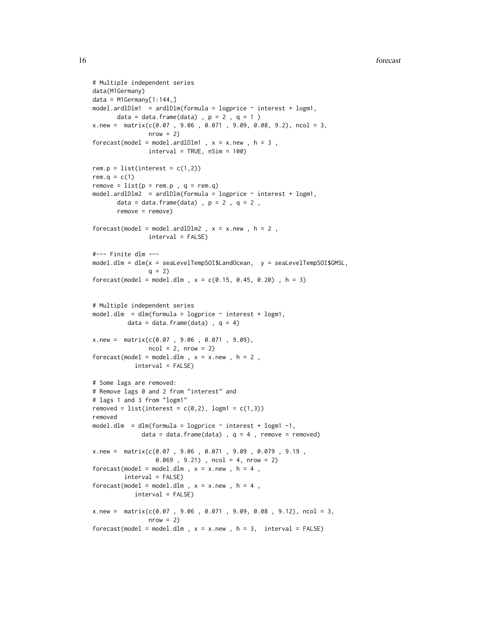#### 16 forecast  $\frac{1}{2}$  forecast  $\frac{1}{2}$  forecast  $\frac{1}{2}$  forecast  $\frac{1}{2}$  forecast  $\frac{1}{2}$  forecast  $\frac{1}{2}$  forecast  $\frac{1}{2}$  for example  $\frac{1}{2}$  for example  $\frac{1}{2}$  for example  $\frac{1}{2}$  for example  $\frac{1}{2}$

```
# Multiple independent series
data(M1Germany)
data = M1Germany[1:144, ]model.ardlDlm1 = ardlDlm(formula = logprice \sim interest + logm1,
      data = data.frame(data) , p = 2 , q = 1 )
x.new = matrix(c(0.07, 9.06, 0.071, 9.09, 0.08, 9.2), ncol = 3,
               nrow = 2)forecast(model = model.ardlDlm1, x = x.new, h = 3,
               interval = TRUE, nSim = 100rem.p = list(interest = c(1,2))rem.q = c(1)remove = list(p = rem.p , q = rem.q)model.ardlDlm2 = ardlDlm(formula = logprice ~ interest + logm1,
      data = data.frame(data) , p = 2, q = 2,
      remove = remove)
forecast(model = model.ardlDlm2, x = x.new, h = 2,
               interval = FALSE)
#--- Finite dlm ---
model.dlm = dlm(x = seaLevelTempSOI$LandOcean, y = seaLevelTempSOI$GMSL,
               q = 2forecast(model = model.dlm, x = c(0.15, 0.45, 0.20), h = 3)
# Multiple independent series
model.dlm = dlm(formula = logprice \sim interest + logm1,
         data = data.frame(data), q = 4)
x.new = matrix(c(0.07 , 9.06 , 0.071 , 9.09),
               ncol = 2, nrow = 2forecast(model = model.dlm, x = x.new, h = 2,
           interval = FALSE)
# Some lags are removed:
# Remove lags 0 and 2 from "interest" and
# lags 1 and 3 from "logm1"
removed = list(interest = c(0,2), logm1 = c(1,3))
removed
model.dlm = dlm(formula = logprice \sim interest + logm1 -1,
             data = data.frame(data) , q = 4 , remove = removed)
x.new = matrix(c(0.07 , 9.06 , 0.071 , 9.09 , 0.079 , 9.19 ,
                 0.069 , 9.21) , ncol = 4, nrow = 2)
forecast(model = model.dlm, x = x.new, h = 4,
        interval = FALSE)
forecast(model = model.dlm, x = x.new, h = 4,
           interval = FALSE)
x.new = matrix(c(0.07, 9.06, 0.071, 9.09, 0.08, 9.12), ncol = 3,
               nrow = 2)forecast(model = model.dlm, x = x.new, h = 3, interval = FALSE)
```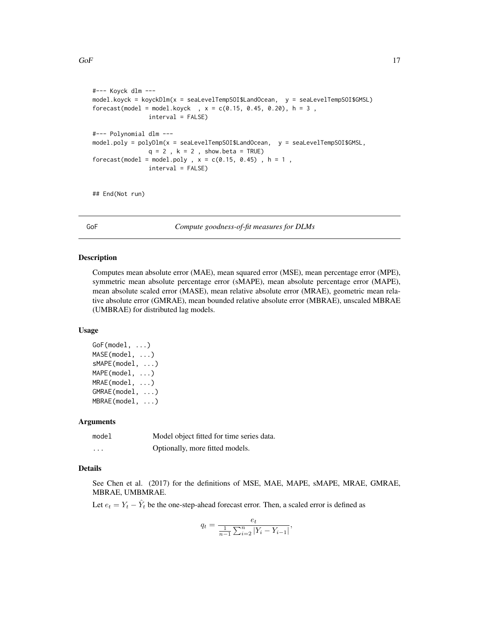```
#--- Koyck dlm ---
model.koyck = koyckDlm(x = seaLevelTempSOI$LandOcean, y = seaLevelTempSOI$GMSL)
forecast(model = model.koyck , x = c(0.15, 0.45, 0.20), h = 3,
               interval = FALSE)
#--- Polynomial dlm ---
model.poly = polyDlm(x = seaLevelTempSOI$LandOcean, y = seaLevelTempSOI$GMSL,
               q = 2, k = 2, show.beta = TRUE)
forecast(model = model.poly, x = c(0.15, 0.45), h = 1,
               interval = FALSE)
```
## End(Not run)

GoF *Compute goodness-of-fit measures for DLMs*

#### Description

Computes mean absolute error (MAE), mean squared error (MSE), mean percentage error (MPE), symmetric mean absolute percentage error (sMAPE), mean absolute percentage error (MAPE), mean absolute scaled error (MASE), mean relative absolute error (MRAE), geometric mean relative absolute error (GMRAE), mean bounded relative absolute error (MBRAE), unscaled MBRAE (UMBRAE) for distributed lag models.

#### Usage

```
GoF(model, ...)
MASE(model, ...)
sMAPE(model, ...)
MAPE(model, ...)
MRAE(model, ...)
GMRAE(model, ...)
MBRAE(model, ...)
```
#### **Arguments**

| model    | Model object fitted for time series data. |
|----------|-------------------------------------------|
| $\cdots$ | Optionally, more fitted models.           |

#### Details

See Chen et al. (2017) for the definitions of MSE, MAE, MAPE, sMAPE, MRAE, GMRAE, MBRAE, UMBMRAE.

Let  $e_t = Y_t - \hat{Y}_t$  be the one-step-ahead forecast error. Then, a scaled error is defined as

$$
q_t = \frac{e_t}{\frac{1}{n-1} \sum_{i=2}^n |Y_i - Y_{i-1}|},
$$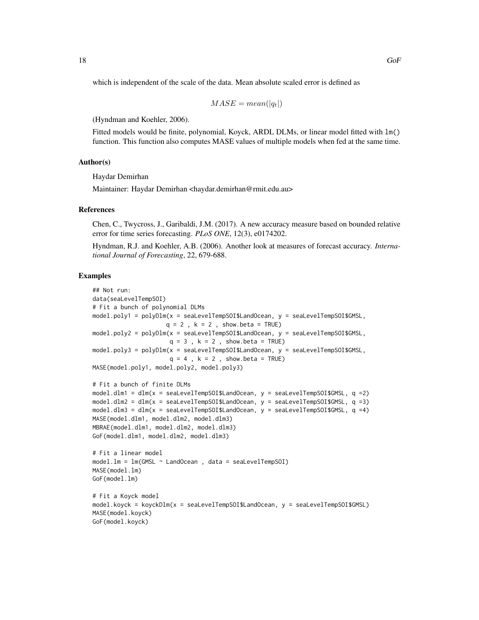which is independent of the scale of the data. Mean absolute scaled error is defined as

$$
MASE = mean(|q_t|)
$$

(Hyndman and Koehler, 2006).

Fitted models would be finite, polynomial, Koyck, ARDL DLMs, or linear model fitted with  $lm()$ function. This function also computes MASE values of multiple models when fed at the same time.

#### Author(s)

Haydar Demirhan

Maintainer: Haydar Demirhan <haydar.demirhan@rmit.edu.au>

#### References

Chen, C., Twycross, J., Garibaldi, J.M. (2017). A new accuracy measure based on bounded relative error for time series forecasting. *PLoS ONE*, 12(3), e0174202.

Hyndman, R.J. and Koehler, A.B. (2006). Another look at measures of forecast accuracy. *International Journal of Forecasting*, 22, 679-688.

#### Examples

```
## Not run:
data(seaLevelTempSOI)
# Fit a bunch of polynomial DLMs
model.poly1 = polyDlm(x = seaLevelTempSOI$LandOcean, y = seaLevelTempSOI$GMSL,
                     q = 2, k = 2, show.beta = TRUE)
model.poly2 = polyDlm(x = seaLevelTempSOI$LandOcean, y = seaLevelTempSOI$GMSL,
                      q = 3, k = 2, show.beta = TRUE)
model.poly3 = polyDlm(x = seaLevelTempSOI$LandOcean, y = seaLevelTempSOI$GMSL,
                      q = 4, k = 2, show.beta = TRUE)
MASE(model.poly1, model.poly2, model.poly3)
# Fit a bunch of finite DLMs
model.dlm1 = dlm(x = scalevelTempSOI$LandOcean, y = scalevelTempSOI$GMSL, q = 2)model.dlm2 = dlm(x = seaLevelTempSOI$LandOcean, y = seaLevelTempSOI$GMSL, q =3)
model.dlm3 = dlm(x = scalevelTempSOI$LandOcean, y = scalevelTempSOI$GMSL, q = 4)MASE(model.dlm1, model.dlm2, model.dlm3)
MBRAE(model.dlm1, model.dlm2, model.dlm3)
GoF(model.dlm1, model.dlm2, model.dlm3)
# Fit a linear model
model.lm = lm(GMSL ~ LandOcean , data = seaLevelTempSOI)
MASE(model.lm)
GoF(model.lm)
# Fit a Koyck model
model.koyck = koyckDlm(x = seaLevelTempSOI$LandOcean, y = seaLevelTempSOI$GMSL)
MASE(model.koyck)
GoF(model.koyck)
```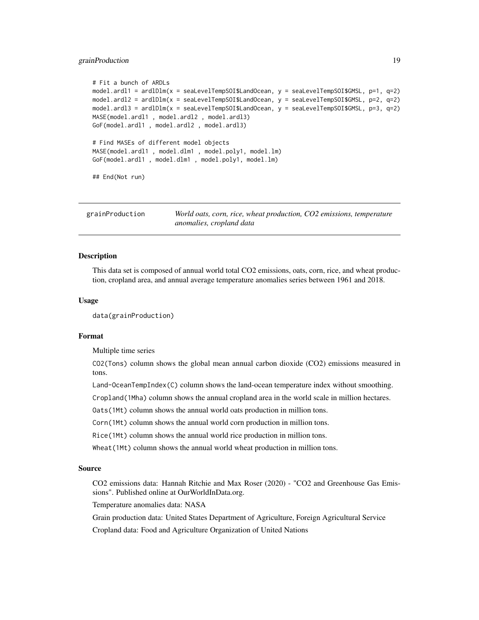#### <span id="page-18-0"></span>grainProduction 19

```
# Fit a bunch of ARDLs
model.ardl1 = ardlDlm(x = seaLevelTempSOI$LandOcean, y = seaLevelTempSOI$GMSL, p=1, q=2)
model.ardl2 = ardlDlm(x = seaLevelTempSOI$LandOcean, y = seaLevelTempSOI$GMSL, p=2, q=2)
model.ardl3 = ardlDlm(x = seaLevelTempSOI$LandOcean, y = seaLevelTempSOI$GMSL, p=3, q=2)
MASE(model.ardl1 , model.ardl2 , model.ardl3)
GoF(model.ardl1 , model.ardl2 , model.ardl3)
# Find MASEs of different model objects
MASE(model.ardl1 , model.dlm1 , model.poly1, model.lm)
GoF(model.ardl1 , model.dlm1 , model.poly1, model.lm)
## End(Not run)
```

| grainProduction | World oats, corn, rice, wheat production, CO2 emissions, temperature |
|-----------------|----------------------------------------------------------------------|
|                 | anomalies, cropland data                                             |

#### **Description**

This data set is composed of annual world total CO2 emissions, oats, corn, rice, and wheat production, cropland area, and annual average temperature anomalies series between 1961 and 2018.

#### Usage

data(grainProduction)

#### Format

Multiple time series

CO2(Tons) column shows the global mean annual carbon dioxide (CO2) emissions measured in tons.

Land-OceanTempIndex(C) column shows the land-ocean temperature index without smoothing.

Cropland(1Mha) column shows the annual cropland area in the world scale in million hectares.

Oats(1Mt) column shows the annual world oats production in million tons.

Corn(1Mt) column shows the annual world corn production in million tons.

Rice(1Mt) column shows the annual world rice production in million tons.

Wheat(1Mt) column shows the annual world wheat production in million tons.

#### Source

CO2 emissions data: Hannah Ritchie and Max Roser (2020) - "CO2 and Greenhouse Gas Emissions". Published online at OurWorldInData.org.

Temperature anomalies data: NASA

Grain production data: United States Department of Agriculture, Foreign Agricultural Service

Cropland data: Food and Agriculture Organization of United Nations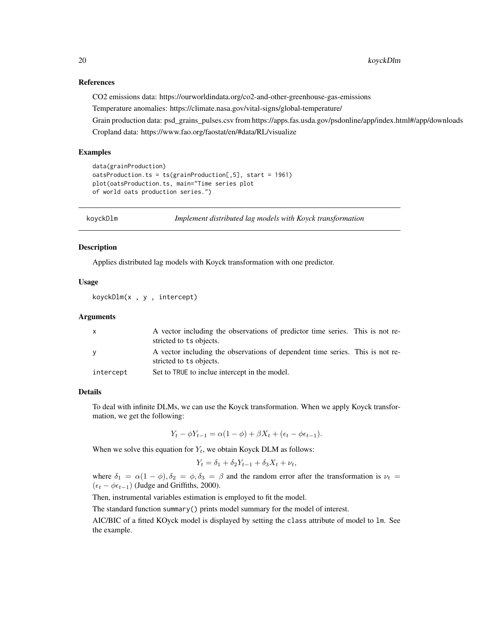#### <span id="page-19-0"></span>References

CO2 emissions data: https://ourworldindata.org/co2-and-other-greenhouse-gas-emissions

Temperature anomalies: https://climate.nasa.gov/vital-signs/global-temperature/

Grain production data: psd\_grains\_pulses.csv from https://apps.fas.usda.gov/psdonline/app/index.html#/app/downloads Cropland data: https://www.fao.org/faostat/en/#data/RL/visualize

#### Examples

```
data(grainProduction)
oatsProduction.ts = ts(grainProduction[,5], start = 1961)
plot(oatsProduction.ts, main="Time series plot
of world oats production series.")
```
<span id="page-19-1"></span>

koyckDlm *Implement distributed lag models with Koyck transformation*

#### **Description**

Applies distributed lag models with Koyck transformation with one predictor.

#### Usage

koyckDlm(x , y , intercept)

#### Arguments

| $\mathsf{x}$ | A vector including the observations of predictor time series. This is not re-                            |  |
|--------------|----------------------------------------------------------------------------------------------------------|--|
|              | stricted to ts objects.                                                                                  |  |
| <b>V</b>     | A vector including the observations of dependent time series. This is not re-<br>stricted to ts objects. |  |
| intercept    | Set to TRUE to inclue intercept in the model.                                                            |  |

#### Details

To deal with infinite DLMs, we can use the Koyck transformation. When we apply Koyck transformation, we get the following:

$$
Y_t - \phi Y_{t-1} = \alpha (1 - \phi) + \beta X_t + (\epsilon_t - \phi \epsilon_{t-1}).
$$

When we solve this equation for  $Y_t$ , we obtain Koyck DLM as follows:

$$
Y_t = \delta_1 + \delta_2 Y_{t-1} + \delta_3 X_t + \nu_t,
$$

where  $\delta_1 = \alpha(1 - \phi), \delta_2 = \phi, \delta_3 = \beta$  and the random error after the transformation is  $\nu_t =$  $(\epsilon_t - \phi \epsilon_{t-1})$  (Judge and Griffiths, 2000).

Then, instrumental variables estimation is employed to fit the model.

The standard function summary() prints model summary for the model of interest.

AIC/BIC of a fitted KOyck model is displayed by setting the class attribute of model to lm. See the example.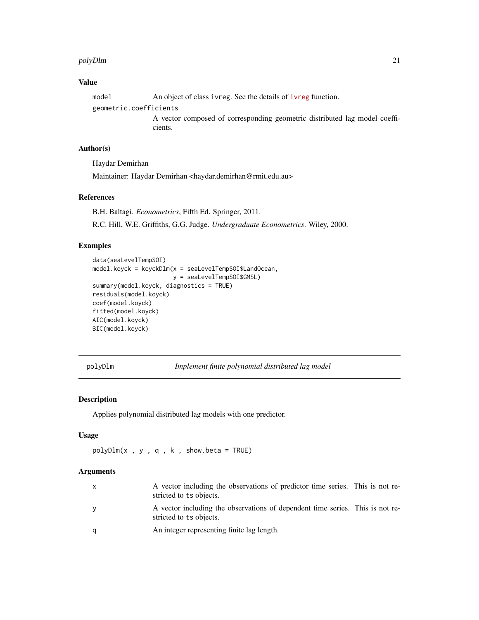#### <span id="page-20-0"></span>polyDlm 21

#### Value

model An object of class [ivreg](https://www.rdocumentation.org/packages/AER/versions/1.2-5/topics/ivreg). See the details of ivreg function. geometric.coefficients

> A vector composed of corresponding geometric distributed lag model coefficients.

#### Author(s)

Haydar Demirhan

Maintainer: Haydar Demirhan <haydar.demirhan@rmit.edu.au>

#### References

B.H. Baltagi. *Econometrics*, Fifth Ed. Springer, 2011.

R.C. Hill, W.E. Griffiths, G.G. Judge. *Undergraduate Econometrics*. Wiley, 2000.

### Examples

```
data(seaLevelTempSOI)
model.koyck = koyckDlm(x = seaLevelTempSOI$LandOcean,
                       y = seaLevelTempSOI$GMSL)
summary(model.koyck, diagnostics = TRUE)
residuals(model.koyck)
coef(model.koyck)
fitted(model.koyck)
AIC(model.koyck)
BIC(model.koyck)
```
<span id="page-20-1"></span>polyDlm *Implement finite polynomial distributed lag model*

#### Description

Applies polynomial distributed lag models with one predictor.

#### Usage

```
polyDlm(x , y , q , k , show.beta = TRUE)
```
#### Arguments

| $\mathsf{X}$ | A vector including the observations of predictor time series. This is not re-<br>stricted to ts objects. |  |
|--------------|----------------------------------------------------------------------------------------------------------|--|
| <b>V</b>     | A vector including the observations of dependent time series. This is not re-<br>stricted to ts objects. |  |
| q            | An integer representing finite lag length.                                                               |  |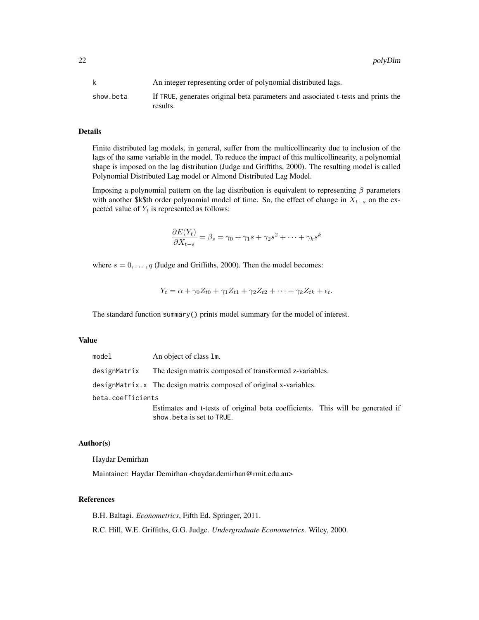22 polyDlm

|           | An integer representing order of polynomial distributed lags.                                 |
|-----------|-----------------------------------------------------------------------------------------------|
| show.beta | If TRUE, generates original beta parameters and associated t-tests and prints the<br>results. |

#### Details

Finite distributed lag models, in general, suffer from the multicollinearity due to inclusion of the lags of the same variable in the model. To reduce the impact of this multicollinearity, a polynomial shape is imposed on the lag distribution (Judge and Griffiths, 2000). The resulting model is called Polynomial Distributed Lag model or Almond Distributed Lag Model.

Imposing a polynomial pattern on the lag distribution is equivalent to representing  $\beta$  parameters with another \$k\$th order polynomial model of time. So, the effect of change in  $X_{t-s}$  on the expected value of  $Y_t$  is represented as follows:

$$
\frac{\partial E(Y_t)}{\partial X_{t-s}} = \beta_s = \gamma_0 + \gamma_1 s + \gamma_2 s^2 + \dots + \gamma_k s^k
$$

where  $s = 0, \ldots, q$  (Judge and Griffiths, 2000). Then the model becomes:

$$
Y_t = \alpha + \gamma_0 Z_{t0} + \gamma_1 Z_{t1} + \gamma_2 Z_{t2} + \dots + \gamma_k Z_{tk} + \epsilon_t.
$$

The standard function summary() prints model summary for the model of interest.

#### Value

| model             | An object of class 1m.                                                                                      |  |  |  |  |  |  |
|-------------------|-------------------------------------------------------------------------------------------------------------|--|--|--|--|--|--|
| designMatrix      | The design matrix composed of transformed z-variables.                                                      |  |  |  |  |  |  |
|                   | designMatrix.x The design matrix composed of original x-variables.                                          |  |  |  |  |  |  |
| beta.coefficients |                                                                                                             |  |  |  |  |  |  |
|                   | Estimates and t-tests of original beta coefficients. This will be generated if<br>show beta is set to TRUE. |  |  |  |  |  |  |

#### Author(s)

Haydar Demirhan

Maintainer: Haydar Demirhan <haydar.demirhan@rmit.edu.au>

#### References

B.H. Baltagi. *Econometrics*, Fifth Ed. Springer, 2011.

R.C. Hill, W.E. Griffiths, G.G. Judge. *Undergraduate Econometrics*. Wiley, 2000.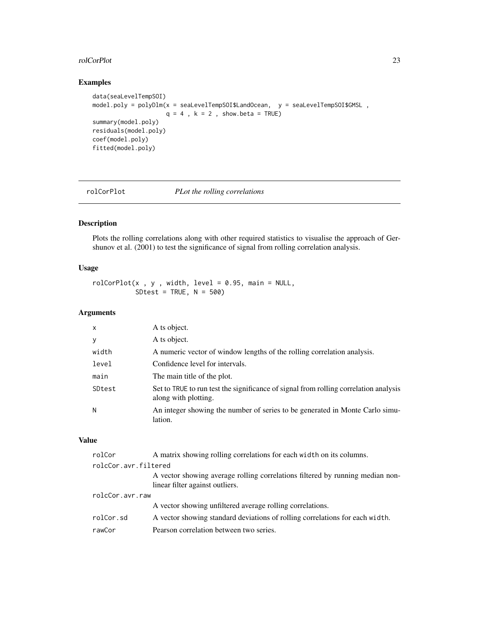#### <span id="page-22-0"></span>rolCorPlot 23

#### Examples

```
data(seaLevelTempSOI)
model.poly = polyDlm(x = seaLevelTempSOI$LandOcean, y = seaLevelTempSOI$GMSL ,
                    q = 4, k = 2, show.beta = TRUE)
summary(model.poly)
residuals(model.poly)
coef(model.poly)
fitted(model.poly)
```
#### rolCorPlot *PLot the rolling correlations*

#### Description

Plots the rolling correlations along with other required statistics to visualise the approach of Gershunov et al. (2001) to test the significance of signal from rolling correlation analysis.

#### Usage

 $\text{rolCorPlot}(x, y, width, level = 0.95, main = NULL,$ SDtest = TRUE,  $N = 500$ )

#### Arguments

| $\mathsf{x}$ | A ts object.                                                                                                 |
|--------------|--------------------------------------------------------------------------------------------------------------|
| y            | A ts object.                                                                                                 |
| width        | A numeric vector of window lengths of the rolling correlation analysis.                                      |
| level        | Confidence level for intervals.                                                                              |
| main         | The main title of the plot.                                                                                  |
| SDtest       | Set to TRUE to run test the significance of signal from rolling correlation analysis<br>along with plotting. |
| N            | An integer showing the number of series to be generated in Monte Carlo simu-<br>lation.                      |

#### Value

| rolCor               | A matrix showing rolling correlations for each width on its columns.                                             |  |  |  |  |  |
|----------------------|------------------------------------------------------------------------------------------------------------------|--|--|--|--|--|
| rolcCor.avr.filtered |                                                                                                                  |  |  |  |  |  |
|                      | A vector showing average rolling correlations filtered by running median non-<br>linear filter against outliers. |  |  |  |  |  |
| rolcCor.avr.raw      |                                                                                                                  |  |  |  |  |  |
|                      | A vector showing unfiltered average rolling correlations.                                                        |  |  |  |  |  |
| rolCor.sd            | A vector showing standard deviations of rolling correlations for each width.                                     |  |  |  |  |  |
| rawCor               | Pearson correlation between two series.                                                                          |  |  |  |  |  |
|                      |                                                                                                                  |  |  |  |  |  |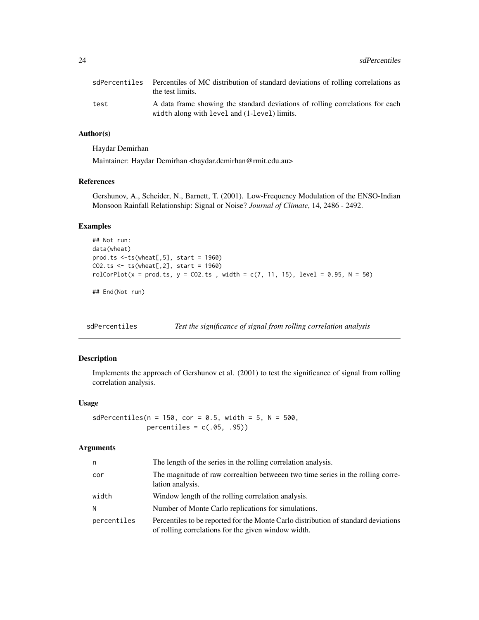<span id="page-23-0"></span>24 sdPercentiles

|      | sdPercentiles Percentiles of MC distribution of standard deviations of rolling correlations as<br>the test limits.            |
|------|-------------------------------------------------------------------------------------------------------------------------------|
| test | A data frame showing the standard deviations of rolling correlations for each<br>width along with level and (1-level) limits. |

#### Author(s)

Haydar Demirhan

Maintainer: Haydar Demirhan <haydar.demirhan@rmit.edu.au>

#### References

Gershunov, A., Scheider, N., Barnett, T. (2001). Low-Frequency Modulation of the ENSO-Indian Monsoon Rainfall Relationship: Signal or Noise? *Journal of Climate*, 14, 2486 - 2492.

#### Examples

```
## Not run:
data(wheat)
prod.ts <-ts(wheat[,5], start = 1960)
CO2.ts < -ts(wheel[, 2], start = 1960)rolCorPlot(x = prod.ts, y = CO2.ts, width = c(7, 11, 15), level = 0.95, N = 50)
```
## End(Not run)

sdPercentiles *Test the significance of signal from rolling correlation analysis*

#### Description

Implements the approach of Gershunov et al. (2001) to test the significance of signal from rolling correlation analysis.

#### Usage

 $sdPercentiles(n = 150, cor = 0.5, width = 5, N = 500,$ percentiles =  $c(.05, .95))$ 

#### Arguments

| n           | The length of the series in the rolling correlation analysis.                                                                             |
|-------------|-------------------------------------------------------------------------------------------------------------------------------------------|
| cor         | The magnitude of raw correaltion betweeen two time series in the rolling corre-<br>lation analysis.                                       |
| width       | Window length of the rolling correlation analysis.                                                                                        |
| N           | Number of Monte Carlo replications for simulations.                                                                                       |
| percentiles | Percentiles to be reported for the Monte Carlo distribution of standard deviations<br>of rolling correlations for the given window width. |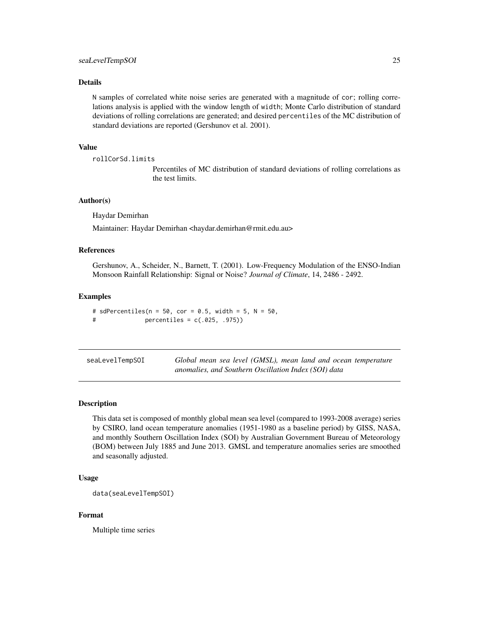#### <span id="page-24-0"></span>Details

N samples of correlated white noise series are generated with a magnitude of cor; rolling correlations analysis is applied with the window length of width; Monte Carlo distribution of standard deviations of rolling correlations are generated; and desired percentiles of the MC distribution of standard deviations are reported (Gershunov et al. 2001).

#### Value

```
rollCorSd.limits
```
Percentiles of MC distribution of standard deviations of rolling correlations as the test limits.

#### Author(s)

Haydar Demirhan

Maintainer: Haydar Demirhan <haydar.demirhan@rmit.edu.au>

#### References

Gershunov, A., Scheider, N., Barnett, T. (2001). Low-Frequency Modulation of the ENSO-Indian Monsoon Rainfall Relationship: Signal or Noise? *Journal of Climate*, 14, 2486 - 2492.

#### Examples

```
# sdPercentiles(n = 50, cor = 0.5, width = 5, N = 50,
# percentiles = c(.025, .975))
```

| seaLevelTempSOI | Global mean sea level (GMSL), mean land and ocean temperature |  |  |  |  |
|-----------------|---------------------------------------------------------------|--|--|--|--|
|                 | anomalies, and Southern Oscillation Index (SOI) data          |  |  |  |  |

#### Description

This data set is composed of monthly global mean sea level (compared to 1993-2008 average) series by CSIRO, land ocean temperature anomalies (1951-1980 as a baseline period) by GISS, NASA, and monthly Southern Oscillation Index (SOI) by Australian Government Bureau of Meteorology (BOM) between July 1885 and June 2013. GMSL and temperature anomalies series are smoothed and seasonally adjusted.

#### Usage

```
data(seaLevelTempSOI)
```
#### Format

Multiple time series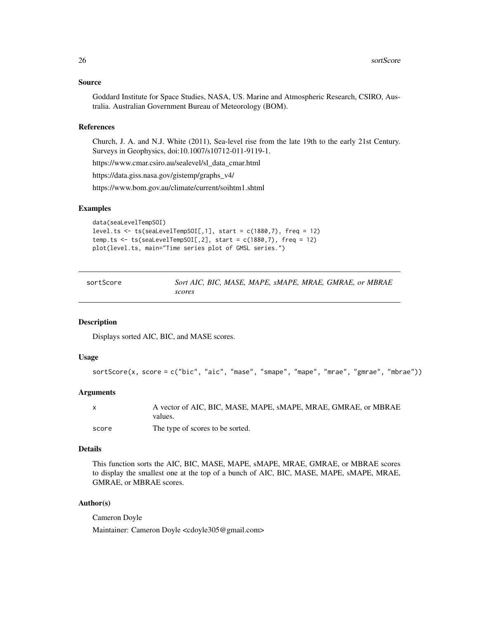#### <span id="page-25-0"></span>Source

Goddard Institute for Space Studies, NASA, US. Marine and Atmospheric Research, CSIRO, Australia. Australian Government Bureau of Meteorology (BOM).

#### References

Church, J. A. and N.J. White (2011), Sea-level rise from the late 19th to the early 21st Century. Surveys in Geophysics, doi:10.1007/s10712-011-9119-1.

https://www.cmar.csiro.au/sealevel/sl\_data\_cmar.html

https://data.giss.nasa.gov/gistemp/graphs\_v4/

https://www.bom.gov.au/climate/current/soihtm1.shtml

#### Examples

```
data(seaLevelTempSOI)
level.ts \leq ts(seaLevelTempSOI[,1], start = c(1880,7), freq = 12)
temp.ts \le ts(seaLevelTempSOI[,2], start = c(1880,7), freq = 12)
plot(level.ts, main="Time series plot of GMSL series.")
```

| sortScore | Sort AIC, BIC, MASE, MAPE, sMAPE, MRAE, GMRAE, or MBRAE |
|-----------|---------------------------------------------------------|
|           | scores                                                  |

#### Description

Displays sorted AIC, BIC, and MASE scores.

#### Usage

```
sortScore(x, score = c("bic", "aic", "mase", "smape", "mape", "mrae", "gmrae", "mbrae"))
```
#### Arguments

| $\mathsf{x}$ | A vector of AIC, BIC, MASE, MAPE, SMAPE, MRAE, GMRAE, or MBRAE<br>values. |
|--------------|---------------------------------------------------------------------------|
| score        | The type of scores to be sorted.                                          |

#### Details

This function sorts the AIC, BIC, MASE, MAPE, sMAPE, MRAE, GMRAE, or MBRAE scores to display the smallest one at the top of a bunch of AIC, BIC, MASE, MAPE, sMAPE, MRAE, GMRAE, or MBRAE scores.

#### Author(s)

Cameron Doyle Maintainer: Cameron Doyle <cdoyle305@gmail.com>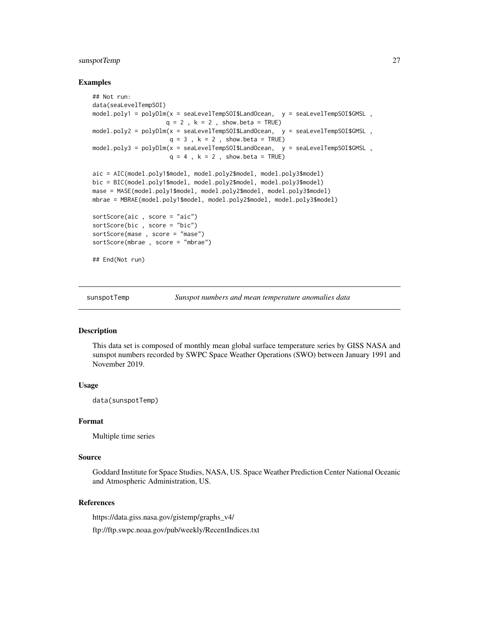#### <span id="page-26-0"></span>sunspotTemp 27

#### Examples

```
## Not run:
data(seaLevelTempSOI)
model.poly1 = polyDlm(x = scalevelTempSOISLandOcean, y = scalevelTempSOISGMSL,q = 2, k = 2, show.beta = TRUE)
model.poly2 = polyDlm(x = seaLevelTempSOI$LandOcean, y = seaLevelTempSOI$GMSL ,
                     q = 3, k = 2, show.beta = TRUE)
model.poly3 = polyDlm(x = seaLevelTempSOI$LandOcean, y = seaLevelTempSOI$GMSL ,
                     q = 4, k = 2, show.beta = TRUE)
aic = AIC(model.poly1$model, model.poly2$model, model.poly3$model)
bic = BIC(model.poly1$model, model.poly2$model, model.poly3$model)
mase = MASE(model.poly1$model, model.poly2$model, model.poly3$model)
mbrae = MBRAE(model.poly1$model, model.poly2$model, model.poly3$model)
sortScore(aic , score = "aic")
sortScore(bic , score = "bic")
sortScore(mase , score = "mase")
sortScore(mbrae , score = "mbrae")
## End(Not run)
```
sunspotTemp *Sunspot numbers and mean temperature anomalies data*

#### Description

This data set is composed of monthly mean global surface temperature series by GISS NASA and sunspot numbers recorded by SWPC Space Weather Operations (SWO) between January 1991 and November 2019.

#### Usage

data(sunspotTemp)

#### Format

Multiple time series

#### Source

Goddard Institute for Space Studies, NASA, US. Space Weather Prediction Center National Oceanic and Atmospheric Administration, US.

#### References

https://data.giss.nasa.gov/gistemp/graphs\_v4/ ftp://ftp.swpc.noaa.gov/pub/weekly/RecentIndices.txt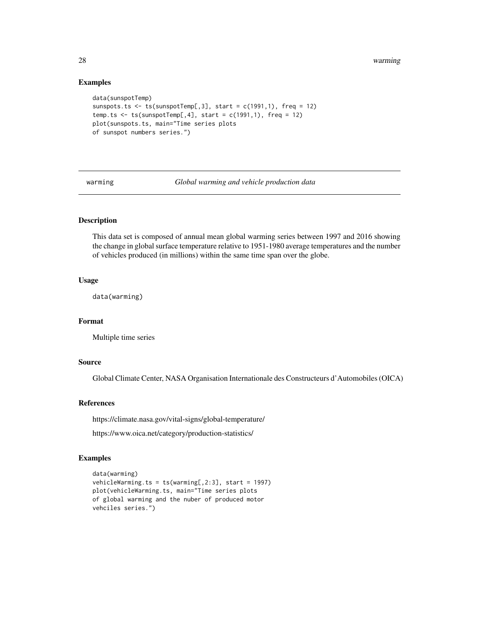28 warming the control of the control of the control of the control of the control of the control of the control of the control of the control of the control of the control of the control of the control of the control of t

#### Examples

```
data(sunspotTemp)
sunspots.ts \leq ts(sunspotTemp[,3], start = c(1991,1), freq = 12)
temp.ts \le ts(sunspotTemp[,4], start = c(1991,1), freq = 12)
plot(sunspots.ts, main="Time series plots
of sunspot numbers series.")
```
warming *Global warming and vehicle production data*

#### Description

This data set is composed of annual mean global warming series between 1997 and 2016 showing the change in global surface temperature relative to 1951-1980 average temperatures and the number of vehicles produced (in millions) within the same time span over the globe.

#### Usage

data(warming)

#### Format

Multiple time series

#### Source

Global Climate Center, NASA Organisation Internationale des Constructeurs d'Automobiles (OICA)

#### References

https://climate.nasa.gov/vital-signs/global-temperature/

https://www.oica.net/category/production-statistics/

#### Examples

```
data(warming)
vehicleWarming.ts = ts(warming[,2:3], start = 1997)
plot(vehicleWarming.ts, main="Time series plots
of global warming and the nuber of produced motor
vehciles series.")
```
<span id="page-27-0"></span>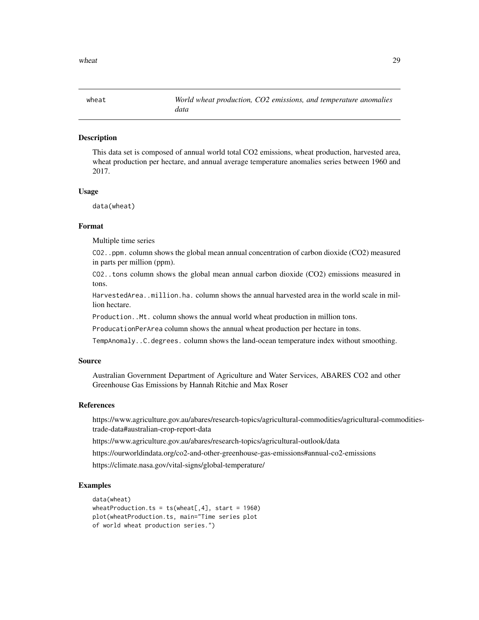<span id="page-28-0"></span>

#### Description

This data set is composed of annual world total CO2 emissions, wheat production, harvested area, wheat production per hectare, and annual average temperature anomalies series between 1960 and 2017.

#### Usage

data(wheat)

#### Format

Multiple time series

CO2..ppm. column shows the global mean annual concentration of carbon dioxide (CO2) measured in parts per million (ppm).

CO2..tons column shows the global mean annual carbon dioxide (CO2) emissions measured in tons.

HarvestedArea..million.ha. column shows the annual harvested area in the world scale in million hectare.

Production..Mt. column shows the annual world wheat production in million tons.

ProducationPerArea column shows the annual wheat production per hectare in tons.

TempAnomaly..C.degrees. column shows the land-ocean temperature index without smoothing.

#### Source

Australian Government Department of Agriculture and Water Services, ABARES CO2 and other Greenhouse Gas Emissions by Hannah Ritchie and Max Roser

#### References

https://www.agriculture.gov.au/abares/research-topics/agricultural-commodities/agricultural-commoditiestrade-data#australian-crop-report-data

https://www.agriculture.gov.au/abares/research-topics/agricultural-outlook/data

https://ourworldindata.org/co2-and-other-greenhouse-gas-emissions#annual-co2-emissions

https://climate.nasa.gov/vital-signs/global-temperature/

#### Examples

```
data(wheat)
wheatProduction.ts = ts(wheat[, 4], start = 1960)
plot(wheatProduction.ts, main="Time series plot
of world wheat production series.")
```